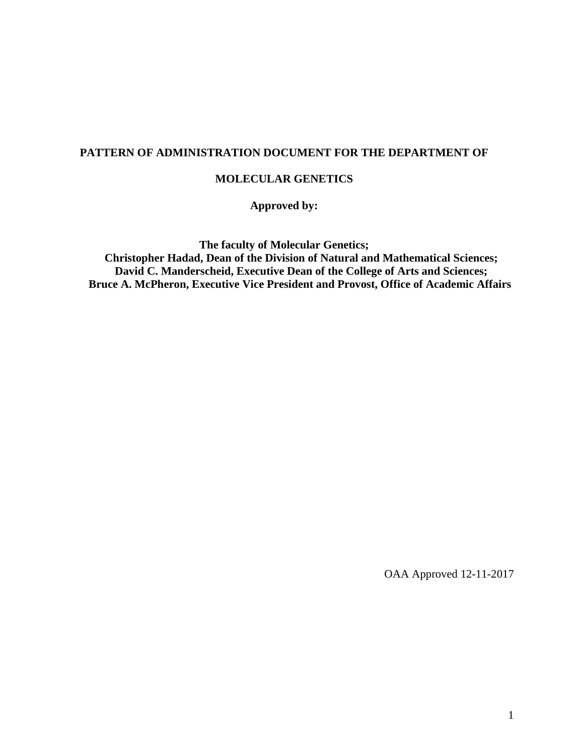#### **PATTERN OF ADMINISTRATION DOCUMENT FOR THE DEPARTMENT OF**

#### **MOLECULAR GENETICS**

**Approved by:**

**The faculty of Molecular Genetics;**

**Christopher Hadad, Dean of the Division of Natural and Mathematical Sciences; David C. Manderscheid, Executive Dean of the College of Arts and Sciences; Bruce A. McPheron, Executive Vice President and Provost, Office of Academic Affairs**

OAA Approved 12-11-2017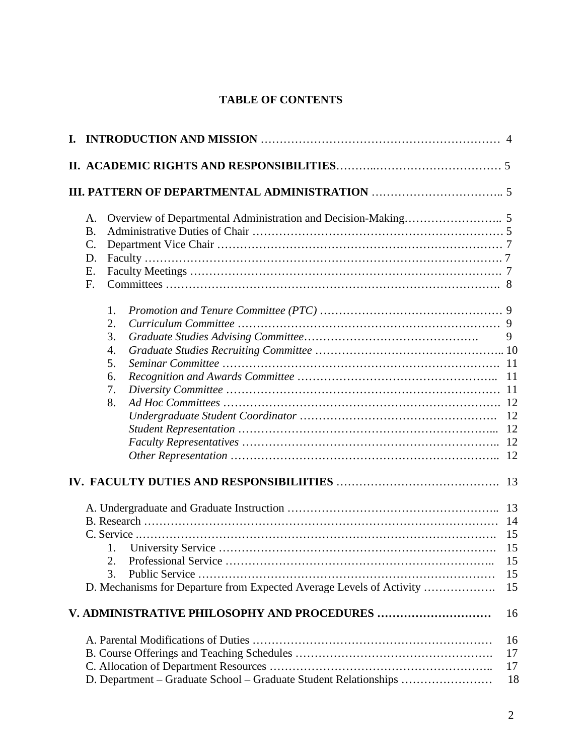# **TABLE OF CONTENTS**

|                                                                                                 | A.<br><b>B.</b><br>$\mathcal{C}$ .<br>D.<br>E.<br>F. |                                                                  |                      |
|-------------------------------------------------------------------------------------------------|------------------------------------------------------|------------------------------------------------------------------|----------------------|
|                                                                                                 | 1.<br>2.<br>3.<br>4.<br>5.<br>6.<br>7.<br>8.         |                                                                  | 9<br><sup>11</sup>   |
| 1.<br>$\cdots$ 15<br>3.<br>D. Mechanisms for Departure from Expected Average Levels of Activity |                                                      |                                                                  | 14<br>15<br>15<br>15 |
|                                                                                                 |                                                      |                                                                  | 16                   |
|                                                                                                 |                                                      | D. Department - Graduate School - Graduate Student Relationships | 16<br>17<br>17<br>18 |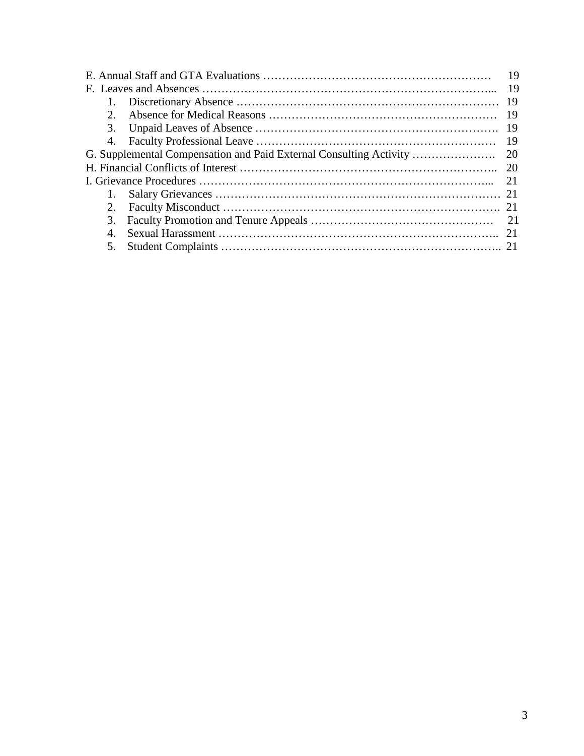|  | 3. |  |  |
|--|----|--|--|
|  |    |  |  |
|  |    |  |  |
|  |    |  |  |
|  |    |  |  |
|  |    |  |  |
|  | 2. |  |  |
|  |    |  |  |
|  |    |  |  |
|  | 5. |  |  |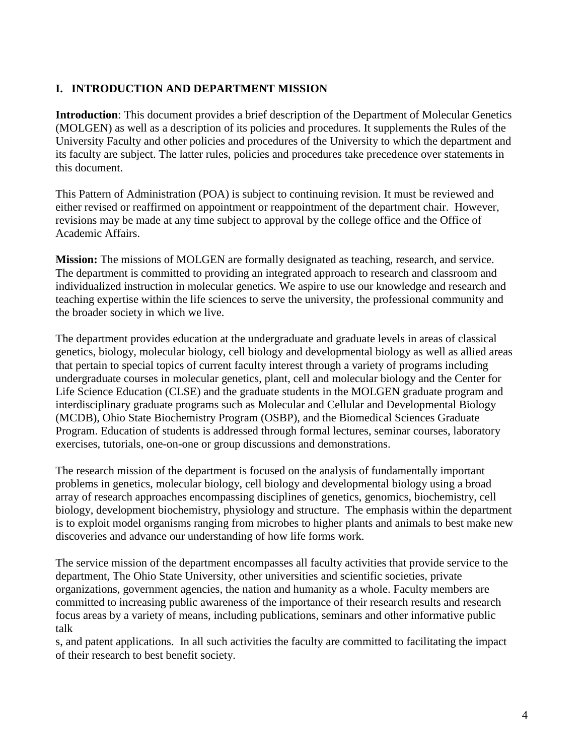### **I. INTRODUCTION AND DEPARTMENT MISSION**

**Introduction**: This document provides a brief description of the Department of Molecular Genetics (MOLGEN) as well as a description of its policies and procedures. It supplements the Rules of the University Faculty and other policies and procedures of the University to which the department and its faculty are subject. The latter rules, policies and procedures take precedence over statements in this document.

This Pattern of Administration (POA) is subject to continuing revision. It must be reviewed and either revised or reaffirmed on appointment or reappointment of the department chair. However, revisions may be made at any time subject to approval by the college office and the Office of Academic Affairs.

**Mission:** The missions of MOLGEN are formally designated as teaching, research, and service. The department is committed to providing an integrated approach to research and classroom and individualized instruction in molecular genetics. We aspire to use our knowledge and research and teaching expertise within the life sciences to serve the university, the professional community and the broader society in which we live.

The department provides education at the undergraduate and graduate levels in areas of classical genetics, biology, molecular biology, cell biology and developmental biology as well as allied areas that pertain to special topics of current faculty interest through a variety of programs including undergraduate courses in molecular genetics, plant, cell and molecular biology and the Center for Life Science Education (CLSE) and the graduate students in the MOLGEN graduate program and interdisciplinary graduate programs such as Molecular and Cellular and Developmental Biology (MCDB), Ohio State Biochemistry Program (OSBP), and the Biomedical Sciences Graduate Program. Education of students is addressed through formal lectures, seminar courses, laboratory exercises, tutorials, one-on-one or group discussions and demonstrations.

The research mission of the department is focused on the analysis of fundamentally important problems in genetics, molecular biology, cell biology and developmental biology using a broad array of research approaches encompassing disciplines of genetics, genomics, biochemistry, cell biology, development biochemistry, physiology and structure. The emphasis within the department is to exploit model organisms ranging from microbes to higher plants and animals to best make new discoveries and advance our understanding of how life forms work.

The service mission of the department encompasses all faculty activities that provide service to the department, The Ohio State University, other universities and scientific societies, private organizations, government agencies, the nation and humanity as a whole. Faculty members are committed to increasing public awareness of the importance of their research results and research focus areas by a variety of means, including publications, seminars and other informative public talk

s, and patent applications. In all such activities the faculty are committed to facilitating the impact of their research to best benefit society.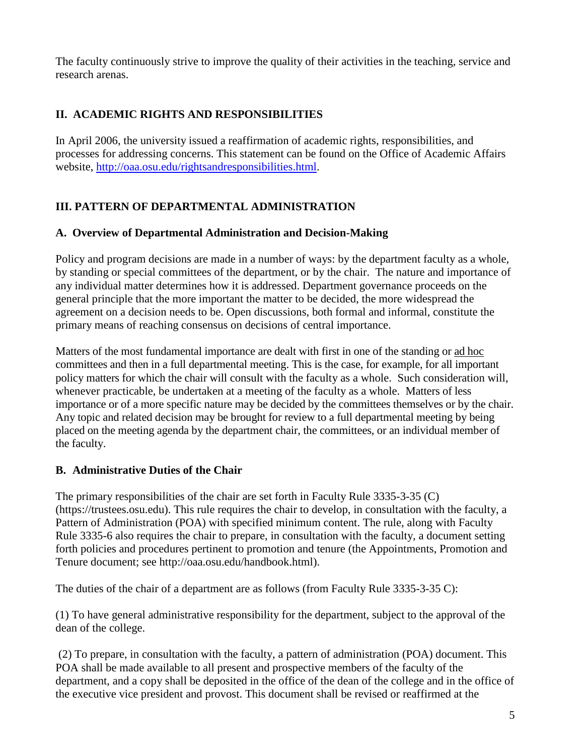The faculty continuously strive to improve the quality of their activities in the teaching, service and research arenas.

## **II. ACADEMIC RIGHTS AND RESPONSIBILITIES**

In April 2006, the university issued a reaffirmation of academic rights, responsibilities, and processes for addressing concerns. This statement can be found on the Office of Academic Affairs website, [http://oaa.osu.edu/rightsandresponsibilities.html.](http://oaa.osu.edu/rightsandresponsibilities.html)

# **III. PATTERN OF DEPARTMENTAL ADMINISTRATION**

# **A. Overview of Departmental Administration and Decision-Making**

Policy and program decisions are made in a number of ways: by the department faculty as a whole, by standing or special committees of the department, or by the chair. The nature and importance of any individual matter determines how it is addressed. Department governance proceeds on the general principle that the more important the matter to be decided, the more widespread the agreement on a decision needs to be. Open discussions, both formal and informal, constitute the primary means of reaching consensus on decisions of central importance.

Matters of the most fundamental importance are dealt with first in one of the standing or ad hoc committees and then in a full departmental meeting. This is the case, for example, for all important policy matters for which the chair will consult with the faculty as a whole. Such consideration will, whenever practicable, be undertaken at a meeting of the faculty as a whole. Matters of less importance or of a more specific nature may be decided by the committees themselves or by the chair. Any topic and related decision may be brought for review to a full departmental meeting by being placed on the meeting agenda by the department chair, the committees, or an individual member of the faculty.

# **B. Administrative Duties of the Chair**

The primary responsibilities of the chair are set forth in Faculty Rule 3335-3-35 (C) (https://trustees.osu.edu). This rule requires the chair to develop, in consultation with the faculty, a Pattern of Administration (POA) with specified minimum content. The rule, along with Faculty Rule 3335-6 also requires the chair to prepare, in consultation with the faculty, a document setting forth policies and procedures pertinent to promotion and tenure (the Appointments, Promotion and Tenure document; see http://oaa.osu.edu/handbook.html).

The duties of the chair of a department are as follows (from Faculty Rule 3335-3-35 C):

(1) To have general administrative responsibility for the department, subject to the approval of the dean of the college.

(2) To prepare, in consultation with the faculty, a pattern of administration (POA) document. This POA shall be made available to all present and prospective members of the faculty of the department, and a copy shall be deposited in the office of the dean of the college and in the office of the executive vice president and provost. This document shall be revised or reaffirmed at the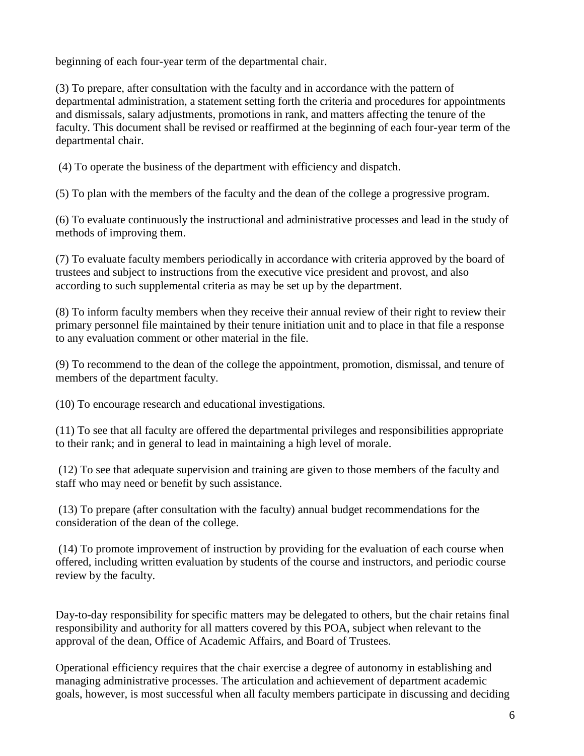beginning of each four-year term of the departmental chair.

(3) To prepare, after consultation with the faculty and in accordance with the pattern of departmental administration, a statement setting forth the criteria and procedures for appointments and dismissals, salary adjustments, promotions in rank, and matters affecting the tenure of the faculty. This document shall be revised or reaffirmed at the beginning of each four-year term of the departmental chair.

(4) To operate the business of the department with efficiency and dispatch.

(5) To plan with the members of the faculty and the dean of the college a progressive program.

(6) To evaluate continuously the instructional and administrative processes and lead in the study of methods of improving them.

(7) To evaluate faculty members periodically in accordance with criteria approved by the board of trustees and subject to instructions from the executive vice president and provost, and also according to such supplemental criteria as may be set up by the department.

(8) To inform faculty members when they receive their annual review of their right to review their primary personnel file maintained by their tenure initiation unit and to place in that file a response to any evaluation comment or other material in the file.

(9) To recommend to the dean of the college the appointment, promotion, dismissal, and tenure of members of the department faculty.

(10) To encourage research and educational investigations.

(11) To see that all faculty are offered the departmental privileges and responsibilities appropriate to their rank; and in general to lead in maintaining a high level of morale.

(12) To see that adequate supervision and training are given to those members of the faculty and staff who may need or benefit by such assistance.

(13) To prepare (after consultation with the faculty) annual budget recommendations for the consideration of the dean of the college.

(14) To promote improvement of instruction by providing for the evaluation of each course when offered, including written evaluation by students of the course and instructors, and periodic course review by the faculty.

Day-to-day responsibility for specific matters may be delegated to others, but the chair retains final responsibility and authority for all matters covered by this POA, subject when relevant to the approval of the dean, Office of Academic Affairs, and Board of Trustees.

Operational efficiency requires that the chair exercise a degree of autonomy in establishing and managing administrative processes. The articulation and achievement of department academic goals, however, is most successful when all faculty members participate in discussing and deciding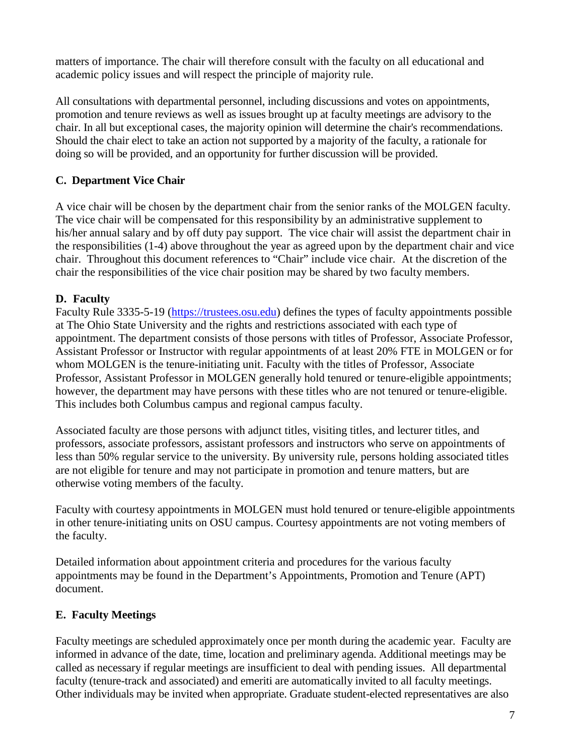matters of importance. The chair will therefore consult with the faculty on all educational and academic policy issues and will respect the principle of majority rule.

All consultations with departmental personnel, including discussions and votes on appointments, promotion and tenure reviews as well as issues brought up at faculty meetings are advisory to the chair. In all but exceptional cases, the majority opinion will determine the chair's recommendations. Should the chair elect to take an action not supported by a majority of the faculty, a rationale for doing so will be provided, and an opportunity for further discussion will be provided.

## **C. Department Vice Chair**

A vice chair will be chosen by the department chair from the senior ranks of the MOLGEN faculty. The vice chair will be compensated for this responsibility by an administrative supplement to his/her annual salary and by off duty pay support. The vice chair will assist the department chair in the responsibilities (1-4) above throughout the year as agreed upon by the department chair and vice chair. Throughout this document references to "Chair" include vice chair. At the discretion of the chair the responsibilities of the vice chair position may be shared by two faculty members.

### **D. Faculty**

Faculty Rule 3335-5-19 [\(https://trustees.osu.edu\)](https://trustees.osu.edu/) defines the types of faculty appointments possible at The Ohio State University and the rights and restrictions associated with each type of appointment. The department consists of those persons with titles of Professor, Associate Professor, Assistant Professor or Instructor with regular appointments of at least 20% FTE in MOLGEN or for whom MOLGEN is the tenure-initiating unit. Faculty with the titles of Professor, Associate Professor, Assistant Professor in MOLGEN generally hold tenured or tenure-eligible appointments; however, the department may have persons with these titles who are not tenured or tenure-eligible. This includes both Columbus campus and regional campus faculty.

Associated faculty are those persons with adjunct titles, visiting titles, and lecturer titles, and professors, associate professors, assistant professors and instructors who serve on appointments of less than 50% regular service to the university. By university rule, persons holding associated titles are not eligible for tenure and may not participate in promotion and tenure matters, but are otherwise voting members of the faculty.

Faculty with courtesy appointments in MOLGEN must hold tenured or tenure-eligible appointments in other tenure-initiating units on OSU campus. Courtesy appointments are not voting members of the faculty.

Detailed information about appointment criteria and procedures for the various faculty appointments may be found in the Department's Appointments, Promotion and Tenure (APT) document.

### **E. Faculty Meetings**

Faculty meetings are scheduled approximately once per month during the academic year. Faculty are informed in advance of the date, time, location and preliminary agenda. Additional meetings may be called as necessary if regular meetings are insufficient to deal with pending issues. All departmental faculty (tenure-track and associated) and emeriti are automatically invited to all faculty meetings. Other individuals may be invited when appropriate. Graduate student-elected representatives are also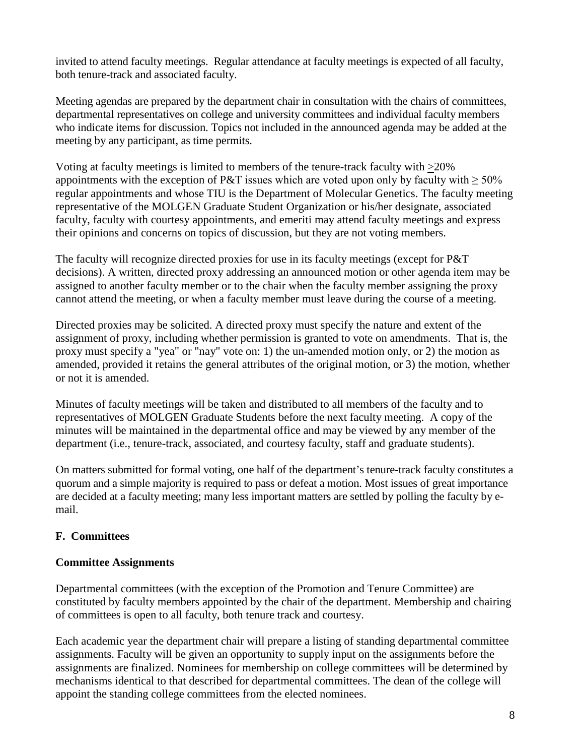invited to attend faculty meetings. Regular attendance at faculty meetings is expected of all faculty, both tenure-track and associated faculty.

Meeting agendas are prepared by the department chair in consultation with the chairs of committees, departmental representatives on college and university committees and individual faculty members who indicate items for discussion. Topics not included in the announced agenda may be added at the meeting by any participant, as time permits.

Voting at faculty meetings is limited to members of the tenure-track faculty with >20% appointments with the exception of P&T issues which are voted upon only by faculty with  $\geq 50\%$ regular appointments and whose TIU is the Department of Molecular Genetics. The faculty meeting representative of the MOLGEN Graduate Student Organization or his/her designate, associated faculty, faculty with courtesy appointments, and emeriti may attend faculty meetings and express their opinions and concerns on topics of discussion, but they are not voting members.

The faculty will recognize directed proxies for use in its faculty meetings (except for P&T decisions). A written, directed proxy addressing an announced motion or other agenda item may be assigned to another faculty member or to the chair when the faculty member assigning the proxy cannot attend the meeting, or when a faculty member must leave during the course of a meeting.

Directed proxies may be solicited. A directed proxy must specify the nature and extent of the assignment of proxy, including whether permission is granted to vote on amendments. That is, the proxy must specify a "yea" or "nay" vote on: 1) the un-amended motion only, or 2) the motion as amended, provided it retains the general attributes of the original motion, or 3) the motion, whether or not it is amended.

Minutes of faculty meetings will be taken and distributed to all members of the faculty and to representatives of MOLGEN Graduate Students before the next faculty meeting. A copy of the minutes will be maintained in the departmental office and may be viewed by any member of the department (i.e., tenure-track, associated, and courtesy faculty, staff and graduate students).

On matters submitted for formal voting, one half of the department's tenure-track faculty constitutes a quorum and a simple majority is required to pass or defeat a motion. Most issues of great importance are decided at a faculty meeting; many less important matters are settled by polling the faculty by email.

## **F. Committees**

### **Committee Assignments**

Departmental committees (with the exception of the Promotion and Tenure Committee) are constituted by faculty members appointed by the chair of the department. Membership and chairing of committees is open to all faculty, both tenure track and courtesy.

Each academic year the department chair will prepare a listing of standing departmental committee assignments. Faculty will be given an opportunity to supply input on the assignments before the assignments are finalized. Nominees for membership on college committees will be determined by mechanisms identical to that described for departmental committees. The dean of the college will appoint the standing college committees from the elected nominees.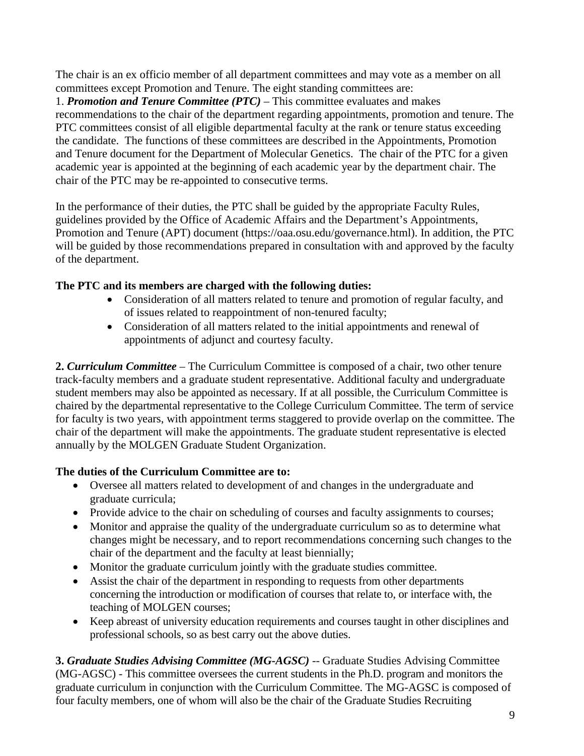The chair is an ex officio member of all department committees and may vote as a member on all committees except Promotion and Tenure. The eight standing committees are:

1. *Promotion and Tenure Committee (PTC)* – This committee evaluates and makes recommendations to the chair of the department regarding appointments, promotion and tenure. The PTC committees consist of all eligible departmental faculty at the rank or tenure status exceeding the candidate. The functions of these committees are described in the Appointments, Promotion and Tenure document for the Department of Molecular Genetics. The chair of the PTC for a given academic year is appointed at the beginning of each academic year by the department chair. The chair of the PTC may be re-appointed to consecutive terms.

In the performance of their duties, the PTC shall be guided by the appropriate Faculty Rules, guidelines provided by the Office of Academic Affairs and the Department's Appointments, Promotion and Tenure (APT) document (https://oaa.osu.edu/governance.html). In addition, the PTC will be guided by those recommendations prepared in consultation with and approved by the faculty of the department.

### **The PTC and its members are charged with the following duties:**

- Consideration of all matters related to tenure and promotion of regular faculty, and of issues related to reappointment of non-tenured faculty;
- Consideration of all matters related to the initial appointments and renewal of appointments of adjunct and courtesy faculty.

**2.** *Curriculum Committee* – The Curriculum Committee is composed of a chair, two other tenure track-faculty members and a graduate student representative. Additional faculty and undergraduate student members may also be appointed as necessary. If at all possible, the Curriculum Committee is chaired by the departmental representative to the College Curriculum Committee. The term of service for faculty is two years, with appointment terms staggered to provide overlap on the committee. The chair of the department will make the appointments. The graduate student representative is elected annually by the MOLGEN Graduate Student Organization.

## **The duties of the Curriculum Committee are to:**

- Oversee all matters related to development of and changes in the undergraduate and graduate curricula;
- Provide advice to the chair on scheduling of courses and faculty assignments to courses;
- Monitor and appraise the quality of the undergraduate curriculum so as to determine what changes might be necessary, and to report recommendations concerning such changes to the chair of the department and the faculty at least biennially;
- Monitor the graduate curriculum jointly with the graduate studies committee.
- Assist the chair of the department in responding to requests from other departments concerning the introduction or modification of courses that relate to, or interface with, the teaching of MOLGEN courses;
- Keep abreast of university education requirements and courses taught in other disciplines and professional schools, so as best carry out the above duties.

**3.** *Graduate Studies Advising Committee (MG-AGSC)* -- Graduate Studies Advising Committee (MG-AGSC) - This committee oversees the current students in the Ph.D. program and monitors the graduate curriculum in conjunction with the Curriculum Committee. The MG-AGSC is composed of four faculty members, one of whom will also be the chair of the Graduate Studies Recruiting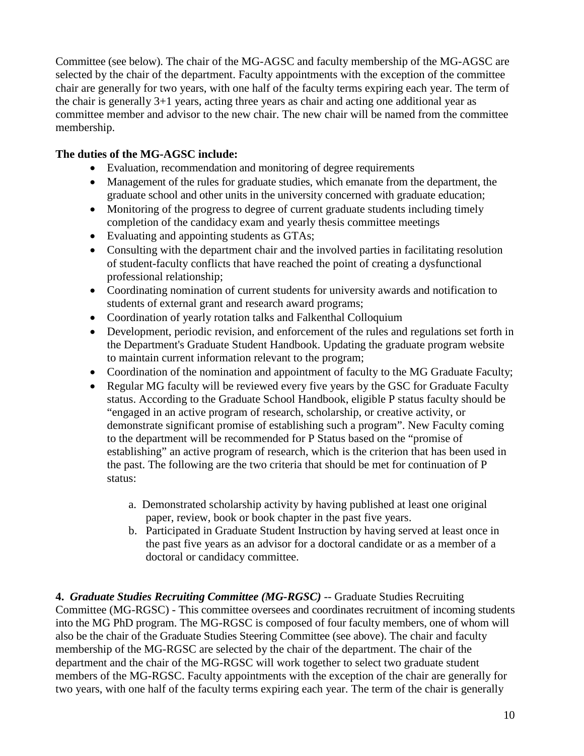Committee (see below). The chair of the MG-AGSC and faculty membership of the MG-AGSC are selected by the chair of the department. Faculty appointments with the exception of the committee chair are generally for two years, with one half of the faculty terms expiring each year. The term of the chair is generally 3+1 years, acting three years as chair and acting one additional year as committee member and advisor to the new chair. The new chair will be named from the committee membership.

### **The duties of the MG-AGSC include:**

- Evaluation, recommendation and monitoring of degree requirements
- Management of the rules for graduate studies, which emanate from the department, the graduate school and other units in the university concerned with graduate education;
- Monitoring of the progress to degree of current graduate students including timely completion of the candidacy exam and yearly thesis committee meetings
- Evaluating and appointing students as GTAs;
- Consulting with the department chair and the involved parties in facilitating resolution of student-faculty conflicts that have reached the point of creating a dysfunctional professional relationship;
- Coordinating nomination of current students for university awards and notification to students of external grant and research award programs;
- Coordination of yearly rotation talks and Falkenthal Colloquium
- Development, periodic revision, and enforcement of the rules and regulations set forth in the Department's Graduate Student Handbook. Updating the graduate program website to maintain current information relevant to the program;
- Coordination of the nomination and appointment of faculty to the MG Graduate Faculty;
- Regular MG faculty will be reviewed every five years by the GSC for Graduate Faculty status. According to the Graduate School Handbook, eligible P status faculty should be "engaged in an active program of research, scholarship, or creative activity, or demonstrate significant promise of establishing such a program". New Faculty coming to the department will be recommended for P Status based on the "promise of establishing" an active program of research, which is the criterion that has been used in the past. The following are the two criteria that should be met for continuation of P status:
	- a. Demonstrated scholarship activity by having published at least one original paper, review, book or book chapter in the past five years.
	- b. Participated in Graduate Student Instruction by having served at least once in the past five years as an advisor for a doctoral candidate or as a member of a doctoral or candidacy committee.

**4.** *Graduate Studies Recruiting Committee (MG-RGSC) --* Graduate Studies Recruiting Committee (MG-RGSC) - This committee oversees and coordinates recruitment of incoming students into the MG PhD program. The MG-RGSC is composed of four faculty members, one of whom will also be the chair of the Graduate Studies Steering Committee (see above). The chair and faculty membership of the MG-RGSC are selected by the chair of the department. The chair of the department and the chair of the MG-RGSC will work together to select two graduate student members of the MG-RGSC. Faculty appointments with the exception of the chair are generally for two years, with one half of the faculty terms expiring each year. The term of the chair is generally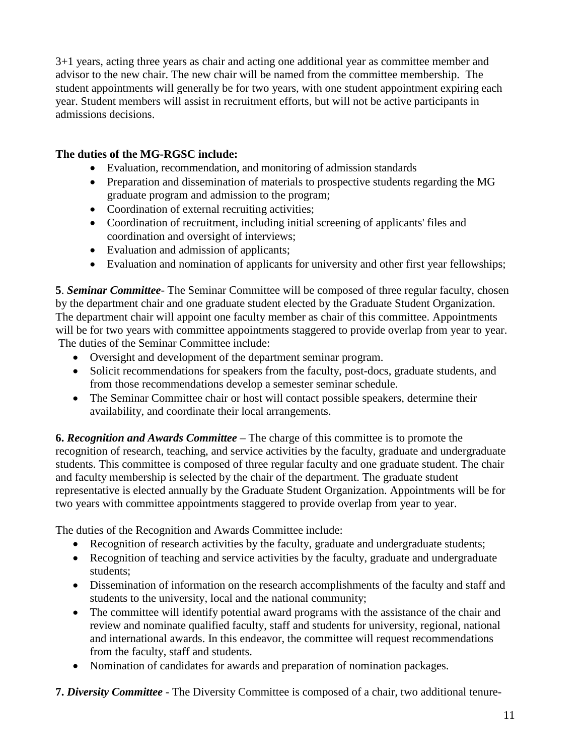3+1 years, acting three years as chair and acting one additional year as committee member and advisor to the new chair. The new chair will be named from the committee membership. The student appointments will generally be for two years, with one student appointment expiring each year. Student members will assist in recruitment efforts, but will not be active participants in admissions decisions.

## **The duties of the MG-RGSC include:**

- Evaluation, recommendation, and monitoring of admission standards
- Preparation and dissemination of materials to prospective students regarding the MG graduate program and admission to the program;
- Coordination of external recruiting activities;
- Coordination of recruitment, including initial screening of applicants' files and coordination and oversight of interviews;
- Evaluation and admission of applicants;
- Evaluation and nomination of applicants for university and other first year fellowships;

**5**. *Seminar Committee*- The Seminar Committee will be composed of three regular faculty, chosen by the department chair and one graduate student elected by the Graduate Student Organization. The department chair will appoint one faculty member as chair of this committee. Appointments will be for two years with committee appointments staggered to provide overlap from year to year. The duties of the Seminar Committee include:

- Oversight and development of the department seminar program.
- Solicit recommendations for speakers from the faculty, post-docs, graduate students, and from those recommendations develop a semester seminar schedule.
- The Seminar Committee chair or host will contact possible speakers, determine their availability, and coordinate their local arrangements.

**6.** *Recognition and Awards Committee* – The charge of this committee is to promote the recognition of research, teaching, and service activities by the faculty, graduate and undergraduate students. This committee is composed of three regular faculty and one graduate student. The chair and faculty membership is selected by the chair of the department. The graduate student representative is elected annually by the Graduate Student Organization. Appointments will be for two years with committee appointments staggered to provide overlap from year to year.

The duties of the Recognition and Awards Committee include:

- Recognition of research activities by the faculty, graduate and undergraduate students;
- Recognition of teaching and service activities by the faculty, graduate and undergraduate students;
- Dissemination of information on the research accomplishments of the faculty and staff and students to the university, local and the national community;
- The committee will identify potential award programs with the assistance of the chair and review and nominate qualified faculty, staff and students for university, regional, national and international awards. In this endeavor, the committee will request recommendations from the faculty, staff and students.
- Nomination of candidates for awards and preparation of nomination packages.

**7.** *Diversity Committee* - The Diversity Committee is composed of a chair, two additional tenure-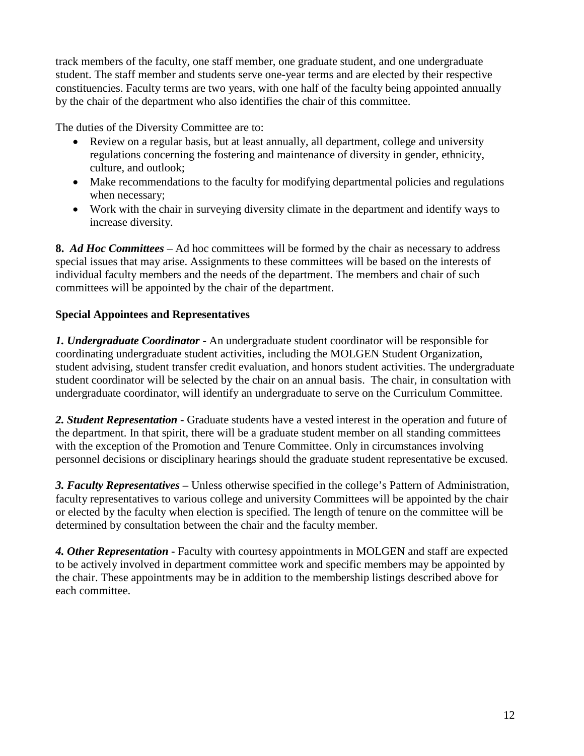track members of the faculty, one staff member, one graduate student, and one undergraduate student. The staff member and students serve one-year terms and are elected by their respective constituencies. Faculty terms are two years, with one half of the faculty being appointed annually by the chair of the department who also identifies the chair of this committee.

The duties of the Diversity Committee are to:

- Review on a regular basis, but at least annually, all department, college and university regulations concerning the fostering and maintenance of diversity in gender, ethnicity, culture, and outlook;
- Make recommendations to the faculty for modifying departmental policies and regulations when necessary;
- Work with the chair in surveying diversity climate in the department and identify ways to increase diversity.

**8.** *Ad Hoc Committees* – Ad hoc committees will be formed by the chair as necessary to address special issues that may arise. Assignments to these committees will be based on the interests of individual faculty members and the needs of the department. The members and chair of such committees will be appointed by the chair of the department.

# **Special Appointees and Representatives**

*1. Undergraduate Coordinator* **-** An undergraduate student coordinator will be responsible for coordinating undergraduate student activities, including the MOLGEN Student Organization, student advising, student transfer credit evaluation, and honors student activities. The undergraduate student coordinator will be selected by the chair on an annual basis. The chair, in consultation with undergraduate coordinator, will identify an undergraduate to serve on the Curriculum Committee.

*2. Student Representation* **-** Graduate students have a vested interest in the operation and future of the department. In that spirit, there will be a graduate student member on all standing committees with the exception of the Promotion and Tenure Committee. Only in circumstances involving personnel decisions or disciplinary hearings should the graduate student representative be excused.

*3. Faculty Representatives* **–** Unless otherwise specified in the college's Pattern of Administration, faculty representatives to various college and university Committees will be appointed by the chair or elected by the faculty when election is specified. The length of tenure on the committee will be determined by consultation between the chair and the faculty member.

*4. Other Representation* **-** Faculty with courtesy appointments in MOLGEN and staff are expected to be actively involved in department committee work and specific members may be appointed by the chair. These appointments may be in addition to the membership listings described above for each committee.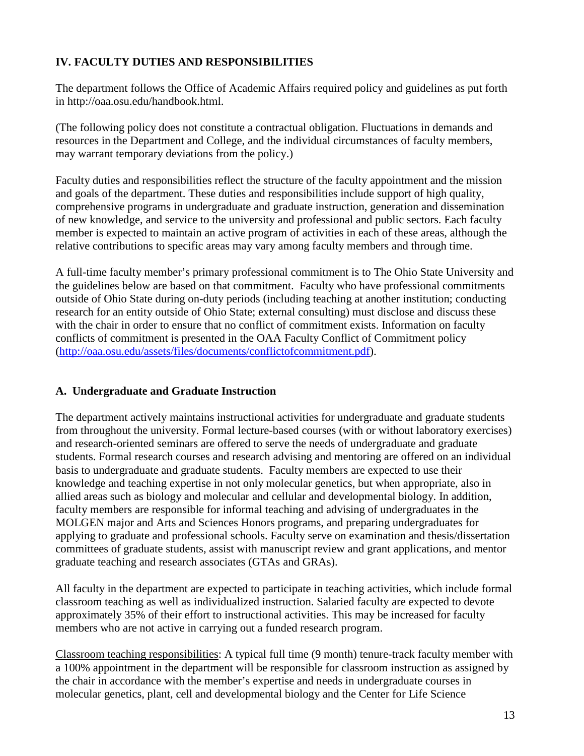## **IV. FACULTY DUTIES AND RESPONSIBILITIES**

The department follows the Office of Academic Affairs required policy and guidelines as put forth in http://oaa.osu.edu/handbook.html.

(The following policy does not constitute a contractual obligation. Fluctuations in demands and resources in the Department and College, and the individual circumstances of faculty members, may warrant temporary deviations from the policy.)

Faculty duties and responsibilities reflect the structure of the faculty appointment and the mission and goals of the department. These duties and responsibilities include support of high quality, comprehensive programs in undergraduate and graduate instruction, generation and dissemination of new knowledge, and service to the university and professional and public sectors. Each faculty member is expected to maintain an active program of activities in each of these areas, although the relative contributions to specific areas may vary among faculty members and through time.

A full-time faculty member's primary professional commitment is to The Ohio State University and the guidelines below are based on that commitment. Faculty who have professional commitments outside of Ohio State during on-duty periods (including teaching at another institution; conducting research for an entity outside of Ohio State; external consulting) must disclose and discuss these with the chair in order to ensure that no conflict of commitment exists. Information on faculty conflicts of commitment is presented in the OAA Faculty Conflict of Commitment policy [\(http://oaa.osu.edu/assets/files/documents/conflictofcommitment.pdf\)](http://oaa.osu.edu/assets/files/documents/conflictofcommitment.pdf).

## **A. Undergraduate and Graduate Instruction**

The department actively maintains instructional activities for undergraduate and graduate students from throughout the university. Formal lecture-based courses (with or without laboratory exercises) and research-oriented seminars are offered to serve the needs of undergraduate and graduate students. Formal research courses and research advising and mentoring are offered on an individual basis to undergraduate and graduate students. Faculty members are expected to use their knowledge and teaching expertise in not only molecular genetics, but when appropriate, also in allied areas such as biology and molecular and cellular and developmental biology. In addition, faculty members are responsible for informal teaching and advising of undergraduates in the MOLGEN major and Arts and Sciences Honors programs, and preparing undergraduates for applying to graduate and professional schools. Faculty serve on examination and thesis/dissertation committees of graduate students, assist with manuscript review and grant applications, and mentor graduate teaching and research associates (GTAs and GRAs).

All faculty in the department are expected to participate in teaching activities, which include formal classroom teaching as well as individualized instruction. Salaried faculty are expected to devote approximately 35% of their effort to instructional activities. This may be increased for faculty members who are not active in carrying out a funded research program.

Classroom teaching responsibilities: A typical full time (9 month) tenure-track faculty member with a 100% appointment in the department will be responsible for classroom instruction as assigned by the chair in accordance with the member's expertise and needs in undergraduate courses in molecular genetics, plant, cell and developmental biology and the Center for Life Science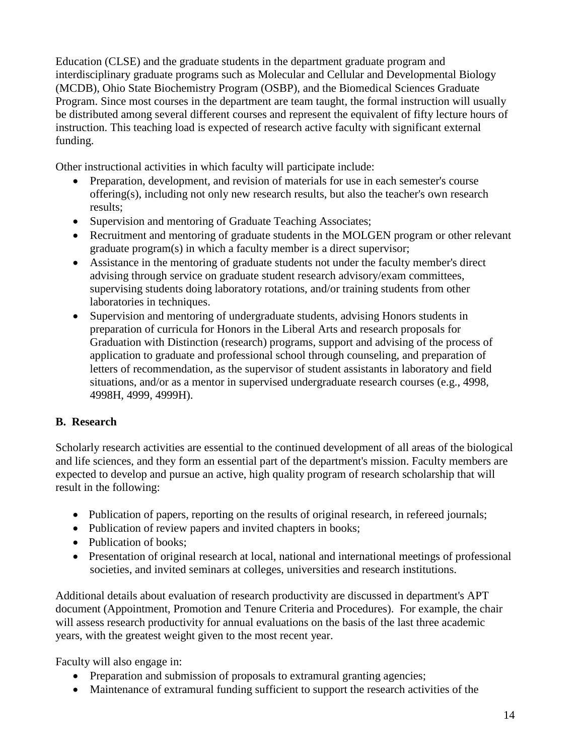Education (CLSE) and the graduate students in the department graduate program and interdisciplinary graduate programs such as Molecular and Cellular and Developmental Biology (MCDB), Ohio State Biochemistry Program (OSBP), and the Biomedical Sciences Graduate Program. Since most courses in the department are team taught, the formal instruction will usually be distributed among several different courses and represent the equivalent of fifty lecture hours of instruction. This teaching load is expected of research active faculty with significant external funding.

Other instructional activities in which faculty will participate include:

- Preparation, development, and revision of materials for use in each semester's course offering(s), including not only new research results, but also the teacher's own research results;
- Supervision and mentoring of Graduate Teaching Associates;
- Recruitment and mentoring of graduate students in the MOLGEN program or other relevant graduate program(s) in which a faculty member is a direct supervisor;
- Assistance in the mentoring of graduate students not under the faculty member's direct advising through service on graduate student research advisory/exam committees, supervising students doing laboratory rotations, and/or training students from other laboratories in techniques.
- Supervision and mentoring of undergraduate students, advising Honors students in preparation of curricula for Honors in the Liberal Arts and research proposals for Graduation with Distinction (research) programs, support and advising of the process of application to graduate and professional school through counseling, and preparation of letters of recommendation, as the supervisor of student assistants in laboratory and field situations, and/or as a mentor in supervised undergraduate research courses (e.g., 4998, 4998H, 4999, 4999H).

## **B. Research**

Scholarly research activities are essential to the continued development of all areas of the biological and life sciences, and they form an essential part of the department's mission. Faculty members are expected to develop and pursue an active, high quality program of research scholarship that will result in the following:

- Publication of papers, reporting on the results of original research, in refereed journals;
- Publication of review papers and invited chapters in books;
- Publication of books:
- Presentation of original research at local, national and international meetings of professional societies, and invited seminars at colleges, universities and research institutions.

Additional details about evaluation of research productivity are discussed in department's APT document (Appointment, Promotion and Tenure Criteria and Procedures). For example, the chair will assess research productivity for annual evaluations on the basis of the last three academic years, with the greatest weight given to the most recent year.

Faculty will also engage in:

- Preparation and submission of proposals to extramural granting agencies;
- Maintenance of extramural funding sufficient to support the research activities of the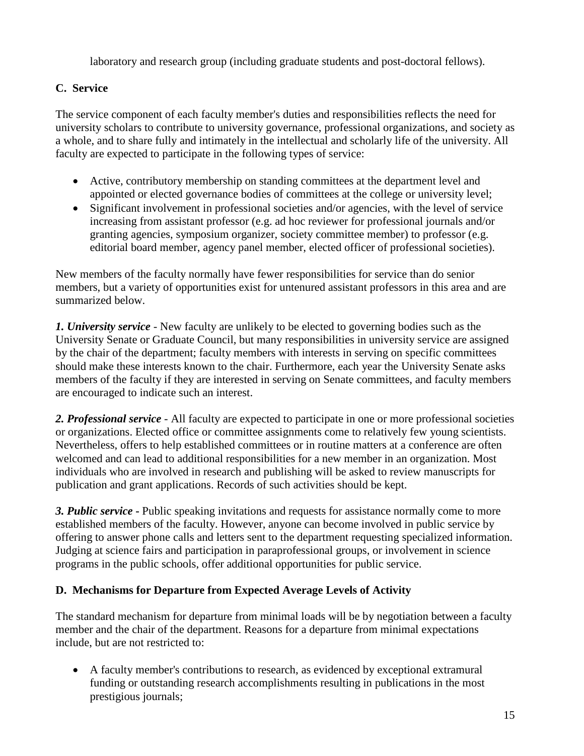laboratory and research group (including graduate students and post-doctoral fellows).

# **C. Service**

The service component of each faculty member's duties and responsibilities reflects the need for university scholars to contribute to university governance, professional organizations, and society as a whole, and to share fully and intimately in the intellectual and scholarly life of the university. All faculty are expected to participate in the following types of service:

- Active, contributory membership on standing committees at the department level and appointed or elected governance bodies of committees at the college or university level;
- Significant involvement in professional societies and/or agencies, with the level of service increasing from assistant professor (e.g. ad hoc reviewer for professional journals and/or granting agencies, symposium organizer, society committee member) to professor (e.g. editorial board member, agency panel member, elected officer of professional societies).

New members of the faculty normally have fewer responsibilities for service than do senior members, but a variety of opportunities exist for untenured assistant professors in this area and are summarized below.

*1. University service* - New faculty are unlikely to be elected to governing bodies such as the University Senate or Graduate Council, but many responsibilities in university service are assigned by the chair of the department; faculty members with interests in serving on specific committees should make these interests known to the chair. Furthermore, each year the University Senate asks members of the faculty if they are interested in serving on Senate committees, and faculty members are encouraged to indicate such an interest.

*2. Professional service* - All faculty are expected to participate in one or more professional societies or organizations. Elected office or committee assignments come to relatively few young scientists. Nevertheless, offers to help established committees or in routine matters at a conference are often welcomed and can lead to additional responsibilities for a new member in an organization. Most individuals who are involved in research and publishing will be asked to review manuscripts for publication and grant applications. Records of such activities should be kept.

*3. Public service* **-** Public speaking invitations and requests for assistance normally come to more established members of the faculty. However, anyone can become involved in public service by offering to answer phone calls and letters sent to the department requesting specialized information. Judging at science fairs and participation in paraprofessional groups, or involvement in science programs in the public schools, offer additional opportunities for public service.

# **D. Mechanisms for Departure from Expected Average Levels of Activity**

The standard mechanism for departure from minimal loads will be by negotiation between a faculty member and the chair of the department. Reasons for a departure from minimal expectations include, but are not restricted to:

• A faculty member's contributions to research, as evidenced by exceptional extramural funding or outstanding research accomplishments resulting in publications in the most prestigious journals;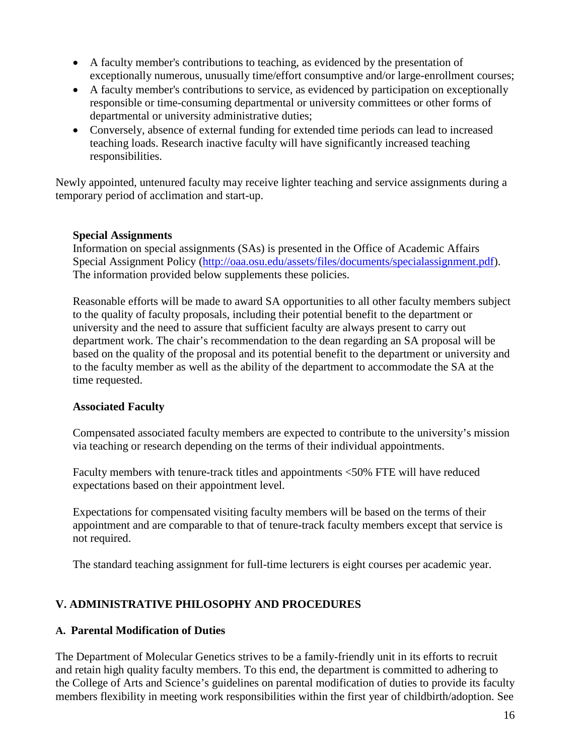- A faculty member's contributions to teaching, as evidenced by the presentation of exceptionally numerous, unusually time/effort consumptive and/or large-enrollment courses;
- A faculty member's contributions to service, as evidenced by participation on exceptionally responsible or time-consuming departmental or university committees or other forms of departmental or university administrative duties;
- Conversely, absence of external funding for extended time periods can lead to increased teaching loads. Research inactive faculty will have significantly increased teaching responsibilities.

Newly appointed, untenured faculty may receive lighter teaching and service assignments during a temporary period of acclimation and start-up.

### **Special Assignments**

Information on special assignments (SAs) is presented in the Office of Academic Affairs Special Assignment Policy [\(http://oaa.osu.edu/assets/files/documents/specialassignment.pdf\)](http://oaa.osu.edu/assets/files/documents/specialassignment.pdf). The information provided below supplements these policies.

Reasonable efforts will be made to award SA opportunities to all other faculty members subject to the quality of faculty proposals, including their potential benefit to the department or university and the need to assure that sufficient faculty are always present to carry out department work. The chair's recommendation to the dean regarding an SA proposal will be based on the quality of the proposal and its potential benefit to the department or university and to the faculty member as well as the ability of the department to accommodate the SA at the time requested.

### **Associated Faculty**

Compensated associated faculty members are expected to contribute to the university's mission via teaching or research depending on the terms of their individual appointments.

Faculty members with tenure-track titles and appointments <50% FTE will have reduced expectations based on their appointment level.

Expectations for compensated visiting faculty members will be based on the terms of their appointment and are comparable to that of tenure-track faculty members except that service is not required.

The standard teaching assignment for full-time lecturers is eight courses per academic year.

# **V. ADMINISTRATIVE PHILOSOPHY AND PROCEDURES**

## **A. Parental Modification of Duties**

The Department of Molecular Genetics strives to be a family-friendly unit in its efforts to recruit and retain high quality faculty members. To this end, the department is committed to adhering to the College of Arts and Science's guidelines on parental modification of duties to provide its faculty members flexibility in meeting work responsibilities within the first year of childbirth/adoption. See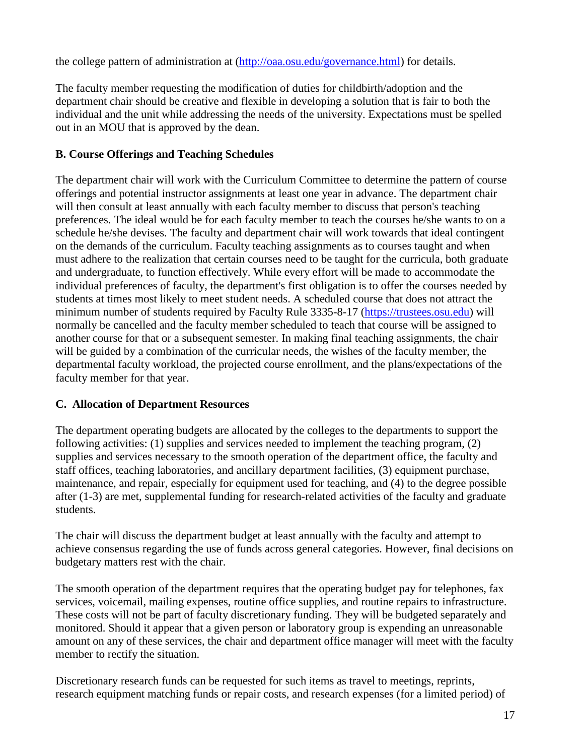the college pattern of administration at [\(http://oaa.osu.edu/governance.html\)](http://oaa.osu.edu/governance.html) for details.

The faculty member requesting the modification of duties for childbirth/adoption and the department chair should be creative and flexible in developing a solution that is fair to both the individual and the unit while addressing the needs of the university. Expectations must be spelled out in an MOU that is approved by the dean.

### **B. Course Offerings and Teaching Schedules**

The department chair will work with the Curriculum Committee to determine the pattern of course offerings and potential instructor assignments at least one year in advance. The department chair will then consult at least annually with each faculty member to discuss that person's teaching preferences. The ideal would be for each faculty member to teach the courses he/she wants to on a schedule he/she devises. The faculty and department chair will work towards that ideal contingent on the demands of the curriculum. Faculty teaching assignments as to courses taught and when must adhere to the realization that certain courses need to be taught for the curricula, both graduate and undergraduate, to function effectively. While every effort will be made to accommodate the individual preferences of faculty, the department's first obligation is to offer the courses needed by students at times most likely to meet student needs. A scheduled course that does not attract the minimum number of students required by Faculty Rule 3335-8-17 [\(https://trustees.osu.edu\)](https://trustees.osu.edu/) will normally be cancelled and the faculty member scheduled to teach that course will be assigned to another course for that or a subsequent semester. In making final teaching assignments, the chair will be guided by a combination of the curricular needs, the wishes of the faculty member, the departmental faculty workload, the projected course enrollment, and the plans/expectations of the faculty member for that year.

## **C. Allocation of Department Resources**

The department operating budgets are allocated by the colleges to the departments to support the following activities: (1) supplies and services needed to implement the teaching program, (2) supplies and services necessary to the smooth operation of the department office, the faculty and staff offices, teaching laboratories, and ancillary department facilities, (3) equipment purchase, maintenance, and repair, especially for equipment used for teaching, and (4) to the degree possible after (1-3) are met, supplemental funding for research-related activities of the faculty and graduate students.

The chair will discuss the department budget at least annually with the faculty and attempt to achieve consensus regarding the use of funds across general categories. However, final decisions on budgetary matters rest with the chair.

The smooth operation of the department requires that the operating budget pay for telephones, fax services, voicemail, mailing expenses, routine office supplies, and routine repairs to infrastructure. These costs will not be part of faculty discretionary funding. They will be budgeted separately and monitored. Should it appear that a given person or laboratory group is expending an unreasonable amount on any of these services, the chair and department office manager will meet with the faculty member to rectify the situation.

Discretionary research funds can be requested for such items as travel to meetings, reprints, research equipment matching funds or repair costs, and research expenses (for a limited period) of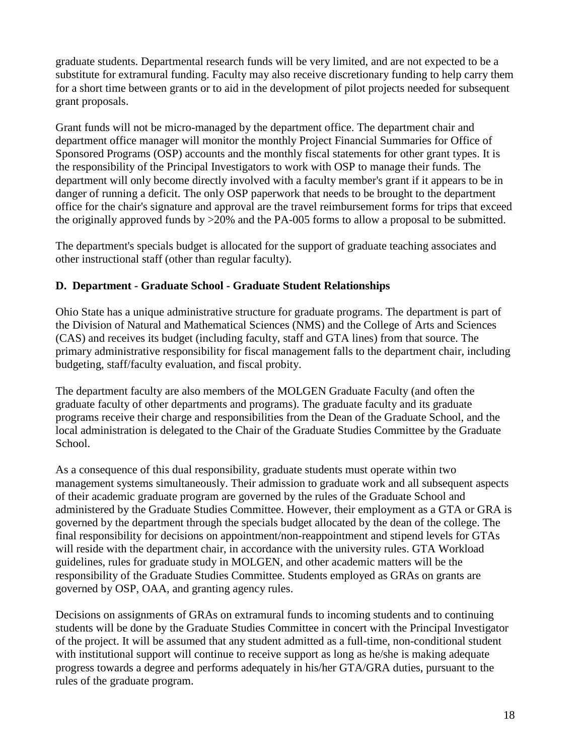graduate students. Departmental research funds will be very limited, and are not expected to be a substitute for extramural funding. Faculty may also receive discretionary funding to help carry them for a short time between grants or to aid in the development of pilot projects needed for subsequent grant proposals.

Grant funds will not be micro-managed by the department office. The department chair and department office manager will monitor the monthly Project Financial Summaries for Office of Sponsored Programs (OSP) accounts and the monthly fiscal statements for other grant types. It is the responsibility of the Principal Investigators to work with OSP to manage their funds. The department will only become directly involved with a faculty member's grant if it appears to be in danger of running a deficit. The only OSP paperwork that needs to be brought to the department office for the chair's signature and approval are the travel reimbursement forms for trips that exceed the originally approved funds by >20% and the PA-005 forms to allow a proposal to be submitted.

The department's specials budget is allocated for the support of graduate teaching associates and other instructional staff (other than regular faculty).

## **D. Department - Graduate School - Graduate Student Relationships**

Ohio State has a unique administrative structure for graduate programs. The department is part of the Division of Natural and Mathematical Sciences (NMS) and the College of Arts and Sciences (CAS) and receives its budget (including faculty, staff and GTA lines) from that source. The primary administrative responsibility for fiscal management falls to the department chair, including budgeting, staff/faculty evaluation, and fiscal probity.

The department faculty are also members of the MOLGEN Graduate Faculty (and often the graduate faculty of other departments and programs). The graduate faculty and its graduate programs receive their charge and responsibilities from the Dean of the Graduate School, and the local administration is delegated to the Chair of the Graduate Studies Committee by the Graduate School.

As a consequence of this dual responsibility, graduate students must operate within two management systems simultaneously. Their admission to graduate work and all subsequent aspects of their academic graduate program are governed by the rules of the Graduate School and administered by the Graduate Studies Committee. However, their employment as a GTA or GRA is governed by the department through the specials budget allocated by the dean of the college. The final responsibility for decisions on appointment/non-reappointment and stipend levels for GTAs will reside with the department chair, in accordance with the university rules. GTA Workload guidelines, rules for graduate study in MOLGEN, and other academic matters will be the responsibility of the Graduate Studies Committee. Students employed as GRAs on grants are governed by OSP, OAA, and granting agency rules.

Decisions on assignments of GRAs on extramural funds to incoming students and to continuing students will be done by the Graduate Studies Committee in concert with the Principal Investigator of the project. It will be assumed that any student admitted as a full-time, non-conditional student with institutional support will continue to receive support as long as he/she is making adequate progress towards a degree and performs adequately in his/her GTA/GRA duties, pursuant to the rules of the graduate program.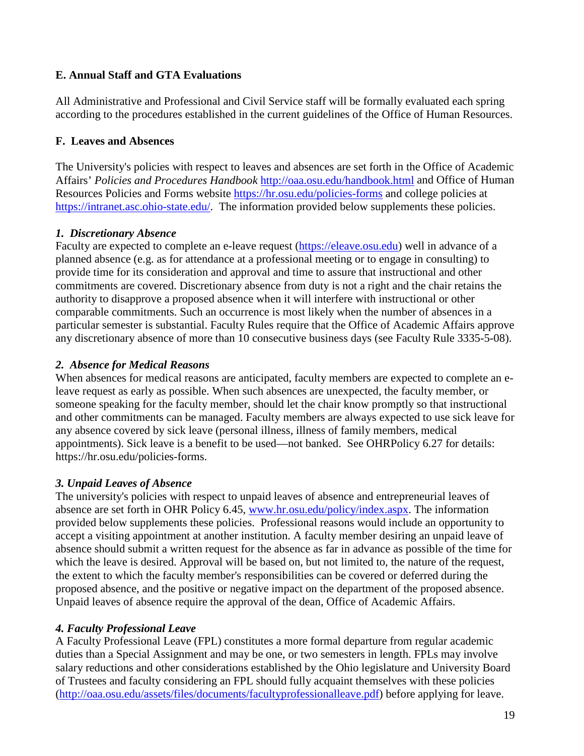### **E. Annual Staff and GTA Evaluations**

All Administrative and Professional and Civil Service staff will be formally evaluated each spring according to the procedures established in the current guidelines of the Office of Human Resources.

### **F. Leaves and Absences**

The University's policies with respect to leaves and absences are set forth in the Office of Academic Affairs' *Policies and Procedures Handbook* <http://oaa.osu.edu/handbook.html> and Office of Human Resources Policies and Forms website<https://hr.osu.edu/policies-forms> and college policies at [https://intranet.asc.ohio-state.edu/.](https://intranet.asc.ohio-state.edu/) The information provided below supplements these policies.

### *1. Discretionary Absence*

Faculty are expected to complete an e-leave request [\(https://eleave.osu.edu\)](https://eleave.osu.edu/) well in advance of a planned absence (e.g. as for attendance at a professional meeting or to engage in consulting) to provide time for its consideration and approval and time to assure that instructional and other commitments are covered. Discretionary absence from duty is not a right and the chair retains the authority to disapprove a proposed absence when it will interfere with instructional or other comparable commitments. Such an occurrence is most likely when the number of absences in a particular semester is substantial. Faculty Rules require that the Office of Academic Affairs approve any discretionary absence of more than 10 consecutive business days (see Faculty Rule 3335-5-08).

### *2. Absence for Medical Reasons*

When absences for medical reasons are anticipated, faculty members are expected to complete an eleave request as early as possible. When such absences are unexpected, the faculty member, or someone speaking for the faculty member, should let the chair know promptly so that instructional and other commitments can be managed. Faculty members are always expected to use sick leave for any absence covered by sick leave (personal illness, illness of family members, medical appointments). Sick leave is a benefit to be used—not banked. See OHRPolicy 6.27 for details: https://hr.osu.edu/policies-forms.

## *3. Unpaid Leaves of Absence*

The university's policies with respect to unpaid leaves of absence and entrepreneurial leaves of absence are set forth in OHR Policy 6.45, [www.hr.osu.edu/policy/index.aspx.](http://www.hr.osu.edu/policy/index.aspx) The information provided below supplements these policies. Professional reasons would include an opportunity to accept a visiting appointment at another institution. A faculty member desiring an unpaid leave of absence should submit a written request for the absence as far in advance as possible of the time for which the leave is desired. Approval will be based on, but not limited to, the nature of the request, the extent to which the faculty member's responsibilities can be covered or deferred during the proposed absence, and the positive or negative impact on the department of the proposed absence. Unpaid leaves of absence require the approval of the dean, Office of Academic Affairs.

## *4. Faculty Professional Leave*

A Faculty Professional Leave (FPL) constitutes a more formal departure from regular academic duties than a Special Assignment and may be one, or two semesters in length. FPLs may involve salary reductions and other considerations established by the Ohio legislature and University Board of Trustees and faculty considering an FPL should fully acquaint themselves with these policies [\(http://oaa.osu.edu/assets/files/documents/facultyprofessionalleave.pdf\)](http://oaa.osu.edu/assets/files/documents/facultyprofessionalleave.pdf) before applying for leave.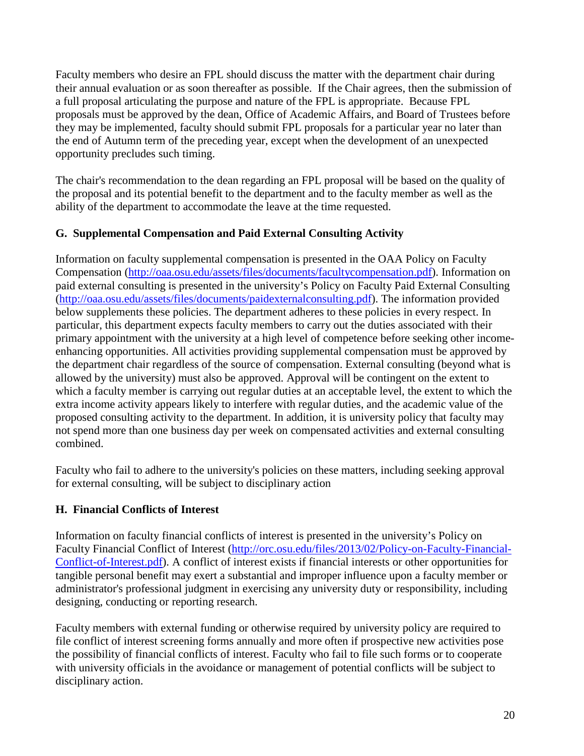Faculty members who desire an FPL should discuss the matter with the department chair during their annual evaluation or as soon thereafter as possible. If the Chair agrees, then the submission of a full proposal articulating the purpose and nature of the FPL is appropriate. Because FPL proposals must be approved by the dean, Office of Academic Affairs, and Board of Trustees before they may be implemented, faculty should submit FPL proposals for a particular year no later than the end of Autumn term of the preceding year, except when the development of an unexpected opportunity precludes such timing.

The chair's recommendation to the dean regarding an FPL proposal will be based on the quality of the proposal and its potential benefit to the department and to the faculty member as well as the ability of the department to accommodate the leave at the time requested.

## **G. Supplemental Compensation and Paid External Consulting Activity**

Information on faculty supplemental compensation is presented in the OAA Policy on Faculty Compensation [\(http://oaa.osu.edu/assets/files/documents/facultycompensation.pdf\)](http://oaa.osu.edu/assets/files/documents/facultycompensation.pdf). Information on paid external consulting is presented in the university's Policy on Faculty Paid External Consulting [\(http://oaa.osu.edu/assets/files/documents/paidexternalconsulting.pdf\)](http://oaa.osu.edu/assets/files/documents/paidexternalconsulting.pdf). The information provided below supplements these policies. The department adheres to these policies in every respect. In particular, this department expects faculty members to carry out the duties associated with their primary appointment with the university at a high level of competence before seeking other incomeenhancing opportunities. All activities providing supplemental compensation must be approved by the department chair regardless of the source of compensation. External consulting (beyond what is allowed by the university) must also be approved. Approval will be contingent on the extent to which a faculty member is carrying out regular duties at an acceptable level, the extent to which the extra income activity appears likely to interfere with regular duties, and the academic value of the proposed consulting activity to the department. In addition, it is university policy that faculty may not spend more than one business day per week on compensated activities and external consulting combined.

Faculty who fail to adhere to the university's policies on these matters, including seeking approval for external consulting, will be subject to disciplinary action

## **H. Financial Conflicts of Interest**

Information on faculty financial conflicts of interest is presented in the university's Policy on Faculty Financial Conflict of Interest [\(http://orc.osu.edu/files/2013/02/Policy-on-Faculty-Financial-](http://orc.osu.edu/files/2013/02/Policy-on-Faculty-Financial-Conflict-of-Interest.pdf)[Conflict-of-Interest.pdf\)](http://orc.osu.edu/files/2013/02/Policy-on-Faculty-Financial-Conflict-of-Interest.pdf). A conflict of interest exists if financial interests or other opportunities for tangible personal benefit may exert a substantial and improper influence upon a faculty member or administrator's professional judgment in exercising any university duty or responsibility, including designing, conducting or reporting research.

Faculty members with external funding or otherwise required by university policy are required to file conflict of interest screening forms annually and more often if prospective new activities pose the possibility of financial conflicts of interest. Faculty who fail to file such forms or to cooperate with university officials in the avoidance or management of potential conflicts will be subject to disciplinary action.